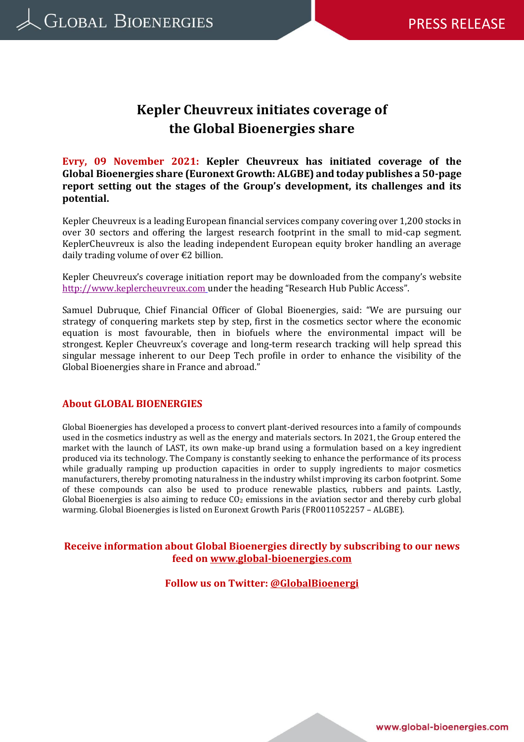# **Kepler Cheuvreux initiates coverage of the Global Bioenergies share**

**Evry, 09 November 2021: Kepler Cheuvreux has initiated coverage of the Global Bioenergies share (Euronext Growth: ALGBE) and today publishes a 50-page report setting out the stages of the Group's development, its challenges and its potential.**

Kepler Cheuvreux is a leading European financial services company covering over 1,200 stocks in over 30 sectors and offering the largest research footprint in the small to mid-cap segment. KeplerCheuvreux is also the leading independent European equity broker handling an average daily trading volume of over €2 billion.

Kepler Cheuvreux's coverage initiation report may be downloaded from the company's website [http://www.keplercheuvreux.com](http://www.keplercheuvreux.com/en/) under the heading "Research Hub Public Access".

Samuel Dubruque, Chief Financial Officer of Global Bioenergies, said: "We are pursuing our strategy of conquering markets step by step, first in the cosmetics sector where the economic equation is most favourable, then in biofuels where the environmental impact will be strongest. Kepler Cheuvreux's coverage and long-term research tracking will help spread this singular message inherent to our Deep Tech profile in order to enhance the visibility of the Global Bioenergies share in France and abroad."

#### **About GLOBAL BIOENERGIES**

Global Bioenergies has developed a process to convert plant-derived resources into a family of compounds used in the cosmetics industry as well as the energy and materials sectors. In 2021, the Group entered the market with the launch of LAST, its own make-up brand using a formulation based on a key ingredient produced via its technology. The Company is constantly seeking to enhance the performance of its process while gradually ramping up production capacities in order to supply ingredients to major cosmetics manufacturers, thereby promoting naturalness in the industry whilst improving its carbon footprint. Some of these compounds can also be used to produce renewable plastics, rubbers and paints. Lastly, Global Bioenergies is also aiming to reduce  $CO<sub>2</sub>$  emissions in the aviation sector and thereby curb global warming. Global Bioenergies is listed on Euronext Growth Paris (FR0011052257 – ALGBE).

### **Receive information about Global Bioenergies directly by subscribing to our news feed on<www.global-bioenergies.com>**

**Follow us on Twitter: [@GlobalBioenergi](mailto:@GlobalBioenergi)**